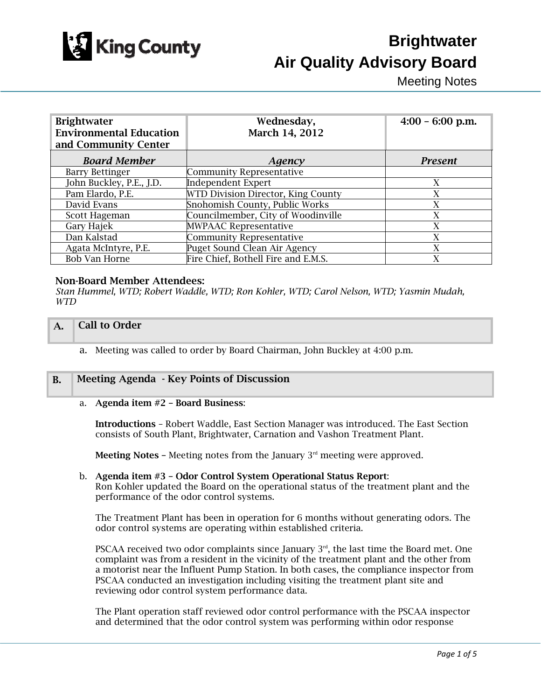

# **Brightwater Air Quality Advisory Board**

Meeting Notes

| <b>Brightwater</b><br><b>Environmental Education</b><br>and Community Center | Wednesday,<br>March 14, 2012        | $4:00 - 6:00$ p.m. |
|------------------------------------------------------------------------------|-------------------------------------|--------------------|
| <b>Board Member</b>                                                          | Agency                              | <b>Present</b>     |
| <b>Barry Bettinger</b>                                                       | <b>Community Representative</b>     |                    |
| John Buckley, P.E., J.D.                                                     | <b>Independent Expert</b>           | X                  |
| Pam Elardo, P.E.                                                             | WTD Division Director, King County  | X                  |
| David Evans                                                                  | Snohomish County, Public Works      | X                  |
| Scott Hageman                                                                | Councilmember, City of Woodinville  | X                  |
| Gary Hajek                                                                   | <b>MWPAAC Representative</b>        | X                  |
| Dan Kalstad                                                                  | <b>Community Representative</b>     | X                  |
| Agata McIntyre, P.E.                                                         | Puget Sound Clean Air Agency        | X                  |
| <b>Bob Van Horne</b>                                                         | Fire Chief, Bothell Fire and E.M.S. | X                  |

### Non-Board Member Attendees:

*Stan Hummel, WTD; Robert Waddle, WTD; Ron Kohler, WTD; Carol Nelson, WTD; Yasmin Mudah, WTD* 

## A. Call to Order

a. Meeting was called to order by Board Chairman, John Buckley at 4:00 p.m.

# B. Meeting Agenda - Key Points of Discussion

#### a. Agenda item #2 – Board Business:

Introductions – Robert Waddle, East Section Manager was introduced. The East Section consists of South Plant, Brightwater, Carnation and Vashon Treatment Plant.

**Meeting Notes -** Meeting notes from the January  $3<sup>rd</sup>$  meeting were approved.

#### b. Agenda item #3 – Odor Control System Operational Status Report: Ron Kohler updated the Board on the operational status of the treatment plant and the performance of the odor control systems.

The Treatment Plant has been in operation for 6 months without generating odors. The odor control systems are operating within established criteria.

PSCAA received two odor complaints since January  $3<sup>rd</sup>$ , the last time the Board met. One complaint was from a resident in the vicinity of the treatment plant and the other from a motorist near the Influent Pump Station. In both cases, the compliance inspector from PSCAA conducted an investigation including visiting the treatment plant site and reviewing odor control system performance data.

The Plant operation staff reviewed odor control performance with the PSCAA inspector and determined that the odor control system was performing within odor response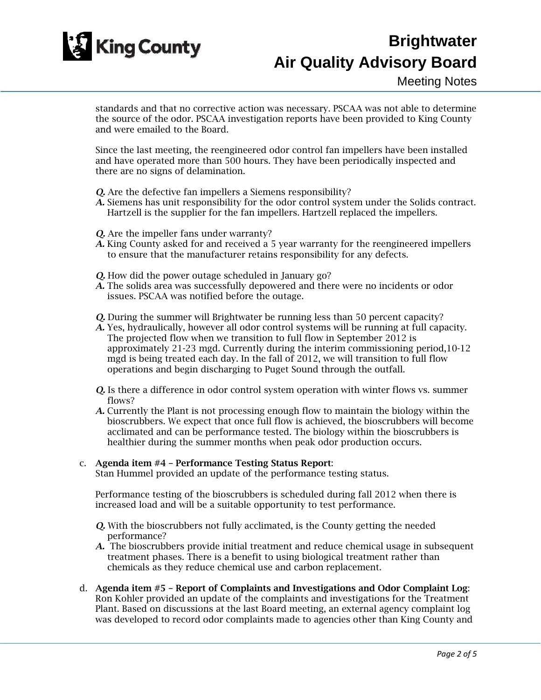

# **Brightwater Air Quality Advisory Board**

standards and that no corrective action was necessary. PSCAA was not able to determine the source of the odor. PSCAA investigation reports have been provided to King County and were emailed to the Board.

Since the last meeting, the reengineered odor control fan impellers have been installed and have operated more than 500 hours. They have been periodically inspected and there are no signs of delamination.

- *Q.* Are the defective fan impellers a Siemens responsibility?
- *A.* Siemens has unit responsibility for the odor control system under the Solids contract. Hartzell is the supplier for the fan impellers. Hartzell replaced the impellers.
- *Q.* Are the impeller fans under warranty?
- *A.* King County asked for and received a 5 year warranty for the reengineered impellers to ensure that the manufacturer retains responsibility for any defects.
- *Q.* How did the power outage scheduled in January go?
- *A.* The solids area was successfully depowered and there were no incidents or odor issues. PSCAA was notified before the outage.
- *Q.* During the summer will Brightwater be running less than 50 percent capacity?
- *A.* Yes, hydraulically, however all odor control systems will be running at full capacity. The projected flow when we transition to full flow in September 2012 is approximately 21-23 mgd. Currently during the interim commissioning period,10-12 mgd is being treated each day. In the fall of 2012, we will transition to full flow operations and begin discharging to Puget Sound through the outfall.
- *Q.* Is there a difference in odor control system operation with winter flows vs. summer flows?
- *A.* Currently the Plant is not processing enough flow to maintain the biology within the bioscrubbers. We expect that once full flow is achieved, the bioscrubbers will become acclimated and can be performance tested. The biology within the bioscrubbers is healthier during the summer months when peak odor production occurs.

### c. Agenda item #4 – Performance Testing Status Report:

Stan Hummel provided an update of the performance testing status.

Performance testing of the bioscrubbers is scheduled during fall 2012 when there is increased load and will be a suitable opportunity to test performance.

- *Q.* With the bioscrubbers not fully acclimated, is the County getting the needed performance?
- *A.* The bioscrubbers provide initial treatment and reduce chemical usage in subsequent treatment phases. There is a benefit to using biological treatment rather than chemicals as they reduce chemical use and carbon replacement.
- d. Agenda item #5 Report of Complaints and Investigations and Odor Complaint Log: Ron Kohler provided an update of the complaints and investigations for the Treatment Plant. Based on discussions at the last Board meeting, an external agency complaint log was developed to record odor complaints made to agencies other than King County and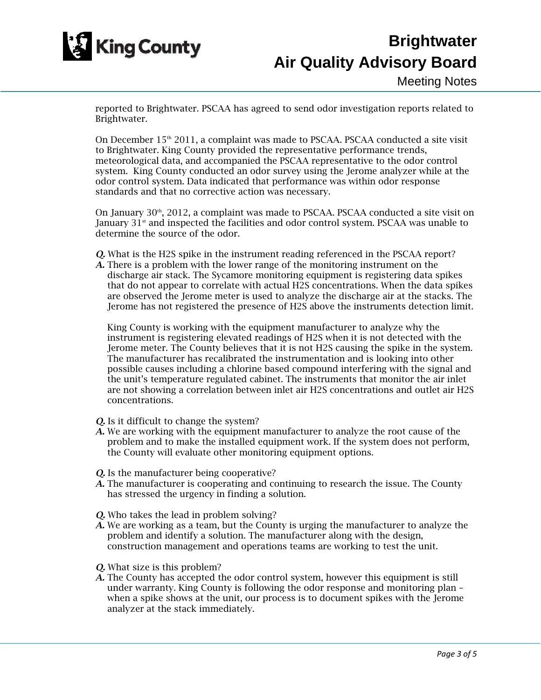

# **Brightwater Air Quality Advisory Board**

reported to Brightwater. PSCAA has agreed to send odor investigation reports related to Brightwater.

On December 15<sup>th</sup> 2011, a complaint was made to PSCAA. PSCAA conducted a site visit to Brightwater. King County provided the representative performance trends, meteorological data, and accompanied the PSCAA representative to the odor control system. King County conducted an odor survey using the Jerome analyzer while at the odor control system. Data indicated that performance was within odor response standards and that no corrective action was necessary.

On January  $30<sup>th</sup>$ , 2012, a complaint was made to PSCAA. PSCAA conducted a site visit on January 31<sup>st</sup> and inspected the facilities and odor control system. PSCAA was unable to determine the source of the odor.

- *Q.* What is the H2S spike in the instrument reading referenced in the PSCAA report?
- *A.* There is a problem with the lower range of the monitoring instrument on the discharge air stack. The Sycamore monitoring equipment is registering data spikes that do not appear to correlate with actual H2S concentrations. When the data spikes are observed the Jerome meter is used to analyze the discharge air at the stacks. The Jerome has not registered the presence of H2S above the instruments detection limit.

King County is working with the equipment manufacturer to analyze why the instrument is registering elevated readings of H2S when it is not detected with the Jerome meter. The County believes that it is not H2S causing the spike in the system. The manufacturer has recalibrated the instrumentation and is looking into other possible causes including a chlorine based compound interfering with the signal and the unit's temperature regulated cabinet. The instruments that monitor the air inlet are not showing a correlation between inlet air H2S concentrations and outlet air H2S concentrations.

- *Q.* Is it difficult to change the system?
- *A.* We are working with the equipment manufacturer to analyze the root cause of the problem and to make the installed equipment work. If the system does not perform, the County will evaluate other monitoring equipment options.
- *Q.* Is the manufacturer being cooperative?
- *A.* The manufacturer is cooperating and continuing to research the issue. The County has stressed the urgency in finding a solution.
- *Q.* Who takes the lead in problem solving?
- *A.* We are working as a team, but the County is urging the manufacturer to analyze the problem and identify a solution. The manufacturer along with the design, construction management and operations teams are working to test the unit.
- *Q.* What size is this problem?
- *A.* The County has accepted the odor control system, however this equipment is still under warranty. King County is following the odor response and monitoring plan – when a spike shows at the unit, our process is to document spikes with the Jerome analyzer at the stack immediately.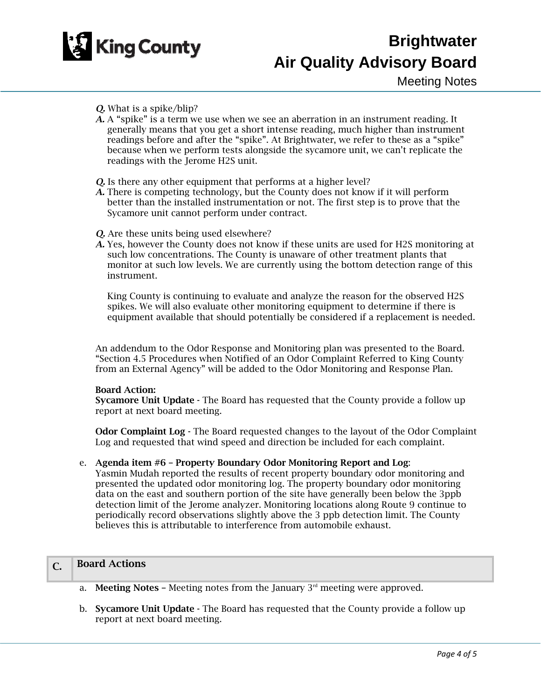

### *Q.* What is a spike/blip?

- *A.* A "spike" is a term we use when we see an aberration in an instrument reading. It generally means that you get a short intense reading, much higher than instrument readings before and after the "spike". At Brightwater, we refer to these as a "spike" because when we perform tests alongside the sycamore unit, we can't replicate the readings with the Jerome H2S unit.
- *O.* Is there any other equipment that performs at a higher level?
- *A.* There is competing technology, but the County does not know if it will perform better than the installed instrumentation or not. The first step is to prove that the Sycamore unit cannot perform under contract.
- *Q.* Are these units being used elsewhere?
- *A.* Yes, however the County does not know if these units are used for H2S monitoring at such low concentrations. The County is unaware of other treatment plants that monitor at such low levels. We are currently using the bottom detection range of this instrument.

King County is continuing to evaluate and analyze the reason for the observed H2S spikes. We will also evaluate other monitoring equipment to determine if there is equipment available that should potentially be considered if a replacement is needed.

An addendum to the Odor Response and Monitoring plan was presented to the Board. "Section 4.5 Procedures when Notified of an Odor Complaint Referred to King County from an External Agency" will be added to the Odor Monitoring and Response Plan.

#### Board Action:

Sycamore Unit Update - The Board has requested that the County provide a follow up report at next board meeting.

Odor Complaint Log - The Board requested changes to the layout of the Odor Complaint Log and requested that wind speed and direction be included for each complaint.

### e. Agenda item #6 – Property Boundary Odor Monitoring Report and Log:

Yasmin Mudah reported the results of recent property boundary odor monitoring and presented the updated odor monitoring log. The property boundary odor monitoring data on the east and southern portion of the site have generally been below the 3ppb detection limit of the Jerome analyzer. Monitoring locations along Route 9 continue to periodically record observations slightly above the 3 ppb detection limit. The County believes this is attributable to interference from automobile exhaust.

# C. Board Actions

- a. **Meeting Notes –** Meeting notes from the January  $3<sup>rd</sup>$  meeting were approved.
- b. Sycamore Unit Update The Board has requested that the County provide a follow up report at next board meeting.